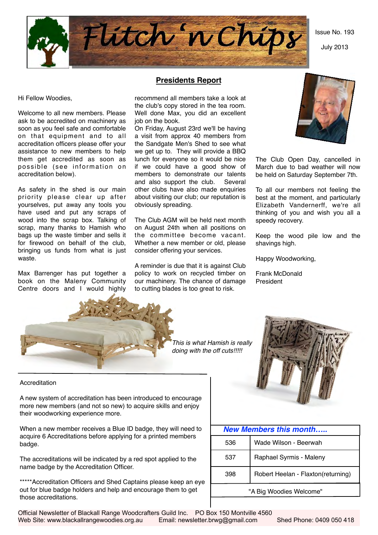Issue No. 193

July 2013



Hi Fellow Woodies,

Welcome to all new members. Please ask to be accredited on machinery as soon as you feel safe and comfortable on that equipment and to all accreditation officers please offer your assistance to new members to help them get accredited as soon as possible (see information on accreditation below).

As safety in the shed is our main priority please clear up after yourselves, put away any tools you have used and put any scraps of wood into the scrap box. Talking of scrap, many thanks to Hamish who bags up the waste timber and sells it for firewood on behalf of the club, bringing us funds from what is just waste.

Max Barrenger has put together a book on the Maleny Community Centre doors and I would highly

# **Presidents Report**

recommend all members take a look at the club's copy stored in the tea room. Well done Max, you did an excellent job on the book.

On Friday, August 23rd we'll be having a visit from approx 40 members from the Sandgate Men's Shed to see what we get up to. They will provide a BBQ lunch for everyone so it would be nice if we could have a good show of members to demonstrate our talents and also support the club. Several other clubs have also made enquiries about visiting our club; our reputation is obviously spreading.

The Club AGM will be held next month on August 24th when all positions on the committee become vacant. Whether a new member or old, please consider offering your services.

A reminder is due that it is against Club policy to work on recycled timber on our machinery. The chance of damage to cutting blades is too great to risk.



The Club Open Day, cancelled in March due to bad weather will now be held on Saturday September 7th.

To all our members not feeling the best at the moment, and particularly Elizabeth Vandernerff, we're all thinking of you and wish you all a speedy recovery.

Keep the wood pile low and the shavings high.

Happy Woodworking,

Frank McDonald President



*This is what Hamish is really doing with the off cuts!!!!!*



Accreditation

A new system of accreditation has been introduced to encourage more new members (and not so new) to acquire skills and enjoy their woodworking experience more.

When a new member receives a Blue ID badge, they will need to acquire 6 Accreditations before applying for a printed members badge.

The accreditations will be indicated by a red spot applied to the name badge by the Accreditation Officer.

\*\*\*\*\*Accreditation Officers and Shed Captains please keep an eye out for blue badge holders and help and encourage them to get those accreditations.

| <b>New Members this month</b> |                                    |  |  |  |  |  |
|-------------------------------|------------------------------------|--|--|--|--|--|
| 536                           | Wade Wilson - Beerwah              |  |  |  |  |  |
| 537                           | Raphael Syrmis - Maleny            |  |  |  |  |  |
| 398                           | Robert Heelan - Flaxton(returning) |  |  |  |  |  |
| "A Big Woodies Welcome"       |                                    |  |  |  |  |  |

Official Newsletter of Blackall Range Woodcrafters Guild Inc. PO Box 150 Montville 4560 Web Site: www.blackallrangewoodies.org.au Email: newsletter.brwg@gmail.com Shed Phone: 0409 050 418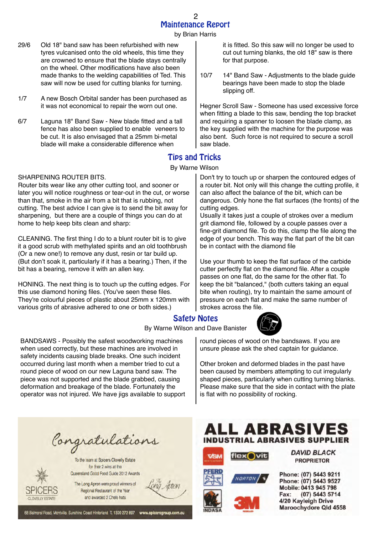by Brian Harris

- 29/6 Old 18" band saw has been refurbished with new tyres vulcanised onto the old wheels, this time they are crowned to ensure that the blade stays centrally on the wheel. Other modifications have also been made thanks to the welding capabilities of Ted. This saw will now be used for cutting blanks for turning.
- 1/7 A new Bosch Orbital sander has been purchased as it was not economical to repair the worn out one.
- 6/7 Laguna 18" Band Saw New blade fitted and a tall fence has also been supplied to enable veneers to be cut. It is also envisaged that a 25mm bi-metal blade will make a considerable difference when

# Tips and Tricks

## By Warne Wilson

cutting edges.

saw blade.

#### SHARPENING ROUTER BITS.

Router bits wear like any other cutting tool, and sooner or later you will notice roughness or tear-out in the cut, or worse than that, smoke in the air from a bit that is rubbing, not cutting. The best advice I can give is to send the bit away for sharpening, but there are a couple of things you can do at home to help keep bits clean and sharp:

CLEANING. The first thing I do to a blunt router bit is to give it a good scrub with methylated spirits and an old toothbrush (Or a new one!) to remove any dust, resin or tar build up. (But don't soak it, particularly if it has a bearing.) Then, if the bit has a bearing, remove it with an allen key.

HONING. The next thing is to touch up the cutting edges. For this use diamond honing files. (You've seen these files. They're colourful pieces of plastic about 25mm x 120mm with various grits of abrasive adhered to one or both sides.)

BANDSAWS - Possibly the safest woodworking machines when used correctly, but these machines are involved in safety incidents causing blade breaks. One such incident occurred during last month when a member tried to cut a round piece of wood on our new Laguna band saw. The piece was not supported and the blade grabbed, causing deformation and breakage of the blade. Fortunately the operator was not injured. We have jigs available to support

# Safety Notes

By Warne Wilson and Dave Banister



be in contact with the diamond file

for that purpose.

slipping off.

strokes across the file.

round pieces of wood on the bandsaws. If you are unsure please ask the shed captain for guidance.

Other broken and deformed blades in the past have been caused by members attempting to cut irregularly shaped pieces, particularly when cutting turning blanks. Please make sure that the side in contact with the plate is flat with no possibility of rocking.

Don't try to touch up or sharpen the contoured edges of a router bit. Not only will this change the cutting profile, it can also affect the balance of the bit, which can be dangerous. Only hone the flat surfaces (the fronts) of the

it is fitted. So this saw will no longer be used to cut out turning blanks, the old 18" saw is there

10/7 14" Band Saw - Adjustments to the blade guide bearings have been made to stop the blade

Hegner Scroll Saw - Someone has used excessive force when fitting a blade to this saw, bending the top bracket and requiring a spanner to loosen the blade clamp, as the key supplied with the machine for the purpose was also bent. Such force is not required to secure a scroll

Usually it takes just a couple of strokes over a medium grit diamond file, followed by a couple passes over a fine-grit diamond file. To do this, clamp the file along the edge of your bench. This way the flat part of the bit can

Use your thumb to keep the flat surface of the carbide cutter perfectly flat on the diamond file. After a couple passes on one flat, do the same for the other flat. To keep the bit "balanced," (both cutters taking an equal bite when routing), try to maintain the same amount of pressure on each flat and make the same number of

Congratulations

To the team at Spicers Clovelly Estate for their 2 wins at the Queensland Good Food Guide 2012 Awards

The Long Apron were proud winners of Regional Restaurant of the Year and awarded 2 Chefs hats



# ALL ABRASIVES **INDUSTRIAL ABRASIVES SUPPLIER**







### **DAVID BLACK PROPRIETOR**

Phone: (07) 5443 9211 Phone: (07) 5443 9527 Mobile: 0413 945 798 (07) 5443 5714 Fax: 4/20 Kayleigh Drive Maroochydore Qld 4558

68 Balmoral Road, Montville, Sunshine Coast Hinterland T. 1300 272 897 www.spicersgroup.com.au

CLOVELLY ESTATE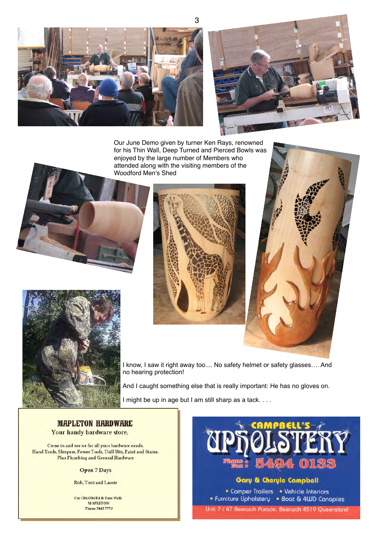



Our June Demo given by turner Ken Rays, renowned for his Thin Wall, Deep Turned and Pierced Bowls was enjoyed by the large number of Members who attended along with the visiting members of the Woodford Men's Shed







I know, I saw it right away too.... No safety helmet or safety glasses…. And no hearing protection!

And I caught something else that is really important: He has no gloves on.

I might be up in age but I am still sharp as a tack. . . .

**MAPLETON HARDWARE** Your handy hardware store.

Come in and see us for all your hardware needs. Hand Tools, Sleepers, Power Tools, Drill Bits, Paint and Stains. **Plus Plumbing and General Hardware** 

#### **Open 7 Days**

Rob, Toni and Laurie

Cnr Obi Obi Rd & Emu Walk **MAPLETON Phone 5445 7773** 

## Gary & Cheryle Campbell

• Comper Trailers • Vehicle Interiors • Furniture Upholstery • Boat & 4WD Canopies Unit 7 / 47 Beerwah Parade, Beerwah 4519 Queensland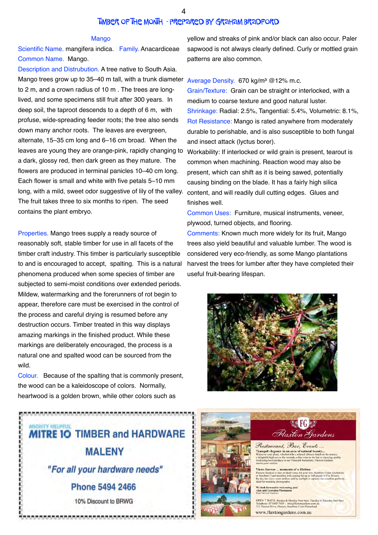## Timber of the Month - prepared by Graham Bradford

#### Mango

Scientific Name. mangifera indica. Family. Anacardiceae Common Name. Mango.

Description and Distrubution. A tree native to South Asia. Mango trees grow up to 35–40 m tall, with a trunk diameter Average Density. 670 kg/m<sup>3</sup> @12% m.c. to 2 m, and a crown radius of 10 m . The trees are longlived, and some specimens still fruit after 300 years. In deep soil, the taproot descends to a depth of 6 m, with profuse, wide-spreading feeder roots; the tree also sends down many anchor roots. The leaves are evergreen, alternate, 15–35 cm long and 6–16 cm broad. When the leaves are young they are orange-pink, rapidly changing to a dark, glossy red, then dark green as they mature. The flowers are produced in terminal panicles 10–40 cm long. Each flower is small and white with five petals 5–10 mm long, with a mild, sweet odor suggestive of lily of the valley. The fruit takes three to six months to ripen. The seed contains the plant embryo.

Properties. Mango trees supply a ready source of reasonably soft, stable timber for use in all facets of the timber craft industry. This timber is particularly susceptible to and is encouraged to accept, spalting. This is a natural phenomena produced when some species of timber are subjected to semi-moist conditions over extended periods. Mildew, watermarking and the forerunners of rot begin to appear, therefore care must be exercised in the control of the process and careful drying is resumed before any destruction occurs. Timber treated in this way displays amazing markings in the finished product. While these markings are deliberately encouraged, the process is a natural one and spalted wood can be sourced from the wild.

Colour. Because of the spalting that is commonly present, the wood can be a kaleidoscope of colors. Normally, heartwood is a golden brown, while other colors such as



yellow and streaks of pink and/or black can also occur. Paler sapwood is not always clearly defined. Curly or mottled grain patterns are also common.

Grain/Texture: Grain can be straight or interlocked, with a medium to coarse texture and good natural luster. Shrinkage: Radial: 2.5%, Tangential: 5.4%, Volumetric: 8.1%, Rot Resistance: Mango is rated anywhere from moderately durable to perishable, and is also susceptible to both fungal and insect attack (lyctus borer).

Workability: If interlocked or wild grain is present, tearout is common when machining. Reaction wood may also be present, which can shift as it is being sawed, potentially causing binding on the blade. It has a fairly high silica content, and will readily dull cutting edges. Glues and finishes well.

Common Uses: Furniture, musical instruments, veneer, plywood, turned objects, and flooring.

Comments: Known much more widely for its fruit, Mango trees also yield beautiful and valuable lumber. The wood is considered very eco-friendly, as some Mango plantations harvest the trees for lumber after they have completed their useful fruit-bearing lifespan.





forward to welcoming<br>I Georgina Thompson.

**DPEN 7 DAYS** n. Tuesday to Saturday 9am-9pm T.S. Sunday & Monday Sam-spm, Tues<br>5445 7450 | info@flaxtongardens.com<br>rive, Flaxton, Sunshine Coast Hinterlan

www.flaxtongardens.com.au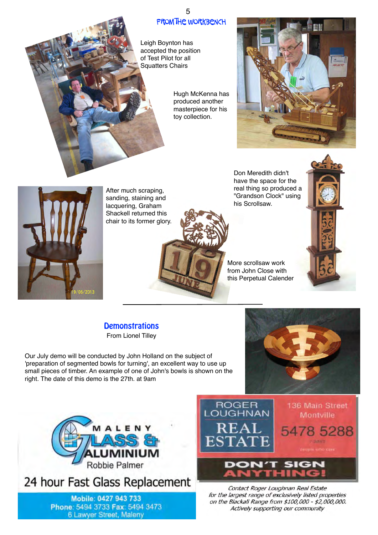# FROM THE WORKBENCH 5

Leigh Boynton has accepted the position of Test Pilot for all Squatters Chairs

> Hugh McKenna has produced another masterpiece for his toy collection.





After much scraping, sanding, staining and lacquering, Graham Shackell returned this chair to its former glory.



Don Meredith didn't have the space for the real thing so produced a "Grandson Clock" using his Scrollsaw.

More scrollsaw work from John Close with this Perpetual Calender

# **Demonstrations** From Lionel Tilley

Our July demo will be conducted by John Holland on the subject of 'preparation of segmented bowls for turning', an excellent way to use up small pieces of timber. An example of one of John's bowls is shown on the right. The date of this demo is the 27th. at 9am





24 hour Fast Glass Replacement

Mobile: 0427 943 733 Phone: 5494 3733 Fax: 5494 3473 6 Lawyer Street, Maleny



Contact Roger Loughnan Real Estate for the largest range of exclusively listed properties on the Blackall Range from \$100,000 - \$2,000,000. Actively supporting our community